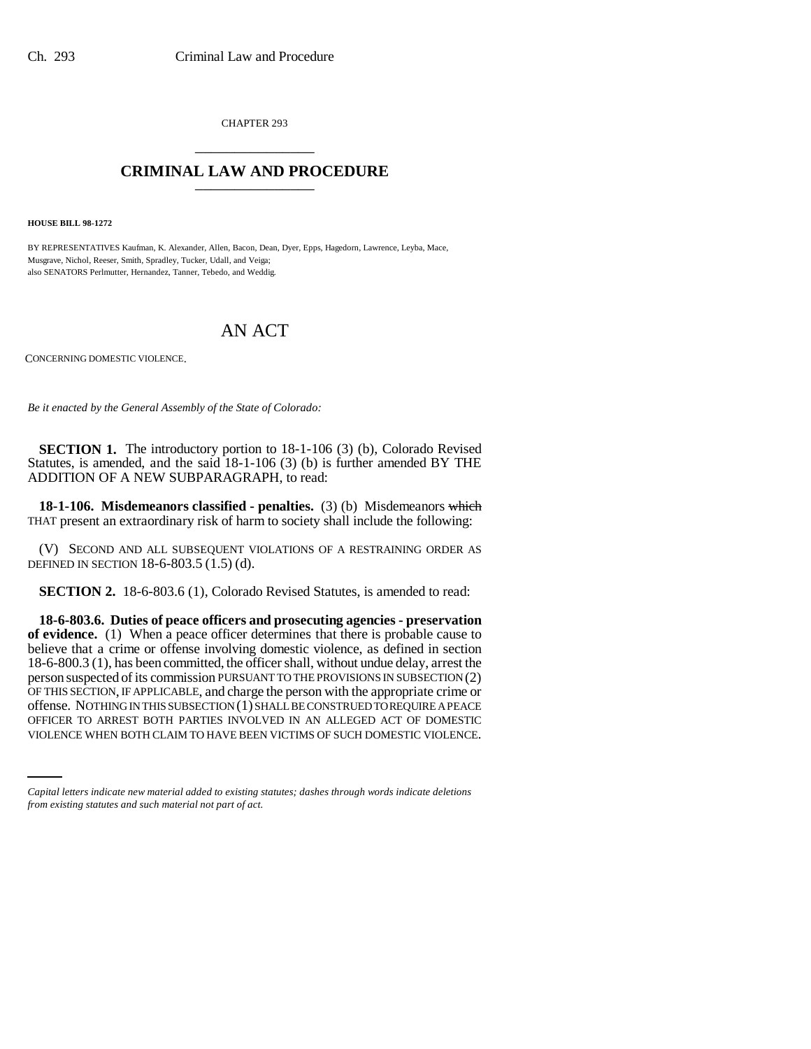CHAPTER 293 \_\_\_\_\_\_\_\_\_\_\_\_\_\_\_

## **CRIMINAL LAW AND PROCEDURE** \_\_\_\_\_\_\_\_\_\_\_\_\_\_\_

**HOUSE BILL 98-1272**

BY REPRESENTATIVES Kaufman, K. Alexander, Allen, Bacon, Dean, Dyer, Epps, Hagedorn, Lawrence, Leyba, Mace, Musgrave, Nichol, Reeser, Smith, Spradley, Tucker, Udall, and Veiga; also SENATORS Perlmutter, Hernandez, Tanner, Tebedo, and Weddig.

## AN ACT

CONCERNING DOMESTIC VIOLENCE.

*Be it enacted by the General Assembly of the State of Colorado:*

**SECTION 1.** The introductory portion to 18-1-106 (3) (b), Colorado Revised Statutes, is amended, and the said 18-1-106 (3) (b) is further amended BY THE ADDITION OF A NEW SUBPARAGRAPH, to read:

**18-1-106. Misdemeanors classified - penalties.** (3) (b) Misdemeanors which THAT present an extraordinary risk of harm to society shall include the following:

(V) SECOND AND ALL SUBSEQUENT VIOLATIONS OF A RESTRAINING ORDER AS DEFINED IN SECTION 18-6-803.5 (1.5) (d).

**SECTION 2.** 18-6-803.6 (1), Colorado Revised Statutes, is amended to read:

offense. NOTHING IN THIS SUBSECTION (1) SHALL BE CONSTRUED TO REQUIRE A PEACE **18-6-803.6. Duties of peace officers and prosecuting agencies - preservation of evidence.** (1) When a peace officer determines that there is probable cause to believe that a crime or offense involving domestic violence, as defined in section 18-6-800.3 (1), has been committed, the officer shall, without undue delay, arrest the person suspected of its commission PURSUANT TO THE PROVISIONS IN SUBSECTION (2) OF THIS SECTION, IF APPLICABLE, and charge the person with the appropriate crime or OFFICER TO ARREST BOTH PARTIES INVOLVED IN AN ALLEGED ACT OF DOMESTIC VIOLENCE WHEN BOTH CLAIM TO HAVE BEEN VICTIMS OF SUCH DOMESTIC VIOLENCE.

*Capital letters indicate new material added to existing statutes; dashes through words indicate deletions from existing statutes and such material not part of act.*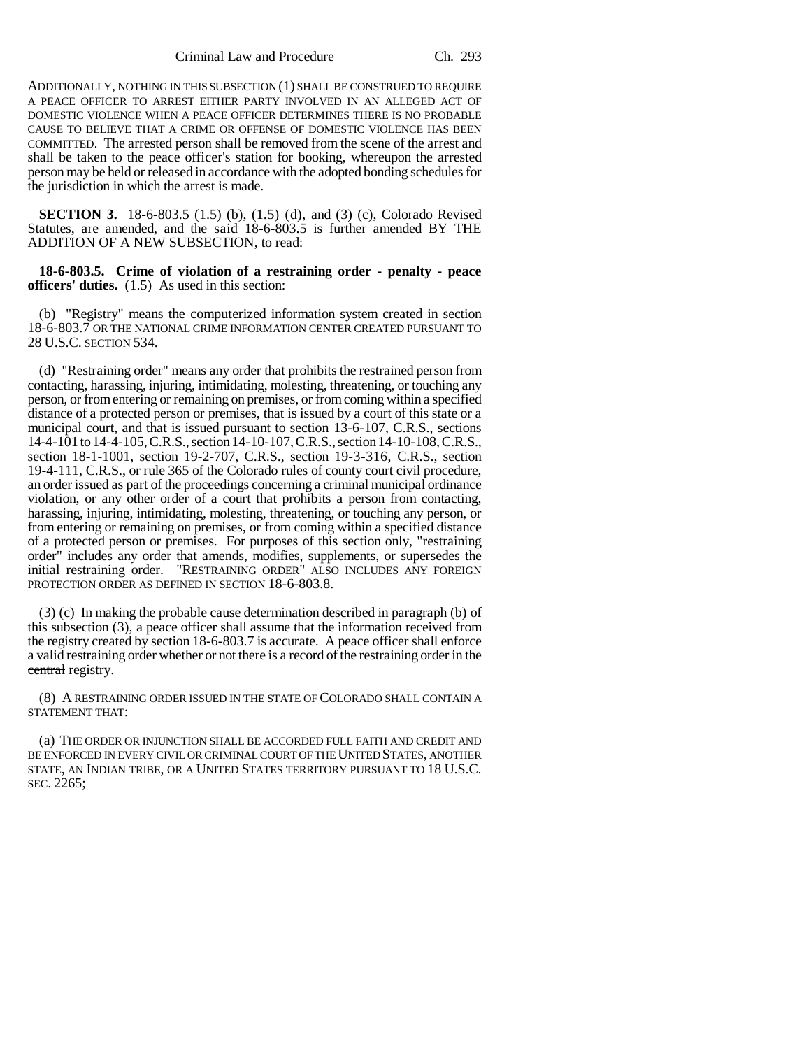Criminal Law and Procedure Ch. 293

ADDITIONALLY, NOTHING IN THIS SUBSECTION (1) SHALL BE CONSTRUED TO REQUIRE A PEACE OFFICER TO ARREST EITHER PARTY INVOLVED IN AN ALLEGED ACT OF DOMESTIC VIOLENCE WHEN A PEACE OFFICER DETERMINES THERE IS NO PROBABLE CAUSE TO BELIEVE THAT A CRIME OR OFFENSE OF DOMESTIC VIOLENCE HAS BEEN COMMITTED. The arrested person shall be removed from the scene of the arrest and shall be taken to the peace officer's station for booking, whereupon the arrested person may be held or released in accordance with the adopted bonding schedules for the jurisdiction in which the arrest is made.

**SECTION 3.** 18-6-803.5 (1.5) (b), (1.5) (d), and (3) (c), Colorado Revised Statutes, are amended, and the said 18-6-803.5 is further amended BY THE ADDITION OF A NEW SUBSECTION, to read:

**18-6-803.5. Crime of violation of a restraining order - penalty - peace officers' duties.** (1.5) As used in this section:

(b) "Registry" means the computerized information system created in section 18-6-803.7 OR THE NATIONAL CRIME INFORMATION CENTER CREATED PURSUANT TO 28 U.S.C. SECTION 534.

(d) "Restraining order" means any order that prohibits the restrained person from contacting, harassing, injuring, intimidating, molesting, threatening, or touching any person, or from entering or remaining on premises, or from coming within a specified distance of a protected person or premises, that is issued by a court of this state or a municipal court, and that is issued pursuant to section 13-6-107, C.R.S., sections 14-4-101 to 14-4-105, C.R.S., section 14-10-107, C.R.S., section 14-10-108, C.R.S., section 18-1-1001, section 19-2-707, C.R.S., section 19-3-316, C.R.S., section 19-4-111, C.R.S., or rule 365 of the Colorado rules of county court civil procedure, an order issued as part of the proceedings concerning a criminal municipal ordinance violation, or any other order of a court that prohibits a person from contacting, harassing, injuring, intimidating, molesting, threatening, or touching any person, or from entering or remaining on premises, or from coming within a specified distance of a protected person or premises. For purposes of this section only, "restraining order" includes any order that amends, modifies, supplements, or supersedes the initial restraining order. "RESTRAINING ORDER" ALSO INCLUDES ANY FOREIGN PROTECTION ORDER AS DEFINED IN SECTION 18-6-803.8.

(3) (c) In making the probable cause determination described in paragraph (b) of this subsection (3), a peace officer shall assume that the information received from the registry created by section 18-6-803.7 is accurate. A peace officer shall enforce a valid restraining order whether or not there is a record of the restraining order in the central registry.

(8) A RESTRAINING ORDER ISSUED IN THE STATE OF COLORADO SHALL CONTAIN A STATEMENT THAT:

(a) THE ORDER OR INJUNCTION SHALL BE ACCORDED FULL FAITH AND CREDIT AND BE ENFORCED IN EVERY CIVIL OR CRIMINAL COURT OF THE UNITED STATES, ANOTHER STATE, AN INDIAN TRIBE, OR A UNITED STATES TERRITORY PURSUANT TO 18 U.S.C. SEC. 2265;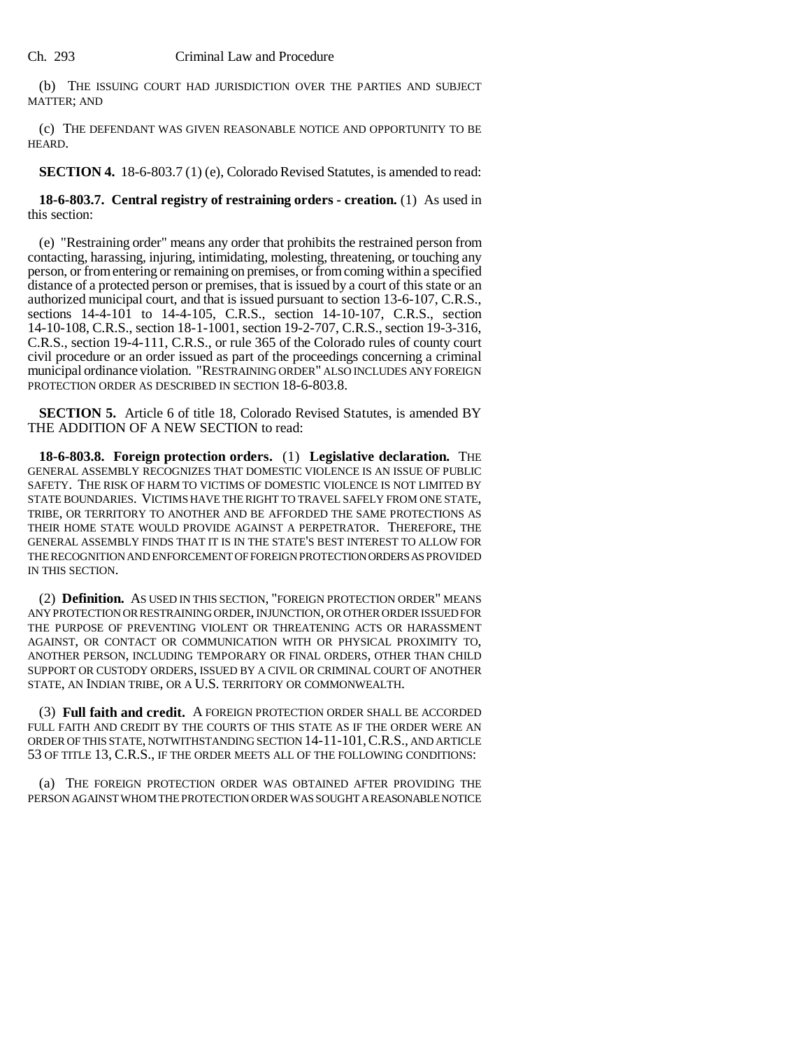(b) THE ISSUING COURT HAD JURISDICTION OVER THE PARTIES AND SUBJECT MATTER; AND

(c) THE DEFENDANT WAS GIVEN REASONABLE NOTICE AND OPPORTUNITY TO BE HEARD.

**SECTION 4.** 18-6-803.7 (1) (e), Colorado Revised Statutes, is amended to read:

**18-6-803.7. Central registry of restraining orders - creation.** (1) As used in this section:

(e) "Restraining order" means any order that prohibits the restrained person from contacting, harassing, injuring, intimidating, molesting, threatening, or touching any person, or from entering or remaining on premises, or from coming within a specified distance of a protected person or premises, that is issued by a court of this state or an authorized municipal court, and that is issued pursuant to section 13-6-107, C.R.S., sections 14-4-101 to 14-4-105, C.R.S., section 14-10-107, C.R.S., section 14-10-108, C.R.S., section 18-1-1001, section 19-2-707, C.R.S., section 19-3-316, C.R.S., section 19-4-111, C.R.S., or rule 365 of the Colorado rules of county court civil procedure or an order issued as part of the proceedings concerning a criminal municipal ordinance violation. "RESTRAINING ORDER" ALSO INCLUDES ANY FOREIGN PROTECTION ORDER AS DESCRIBED IN SECTION 18-6-803.8.

**SECTION 5.** Article 6 of title 18, Colorado Revised Statutes, is amended BY THE ADDITION OF A NEW SECTION to read:

**18-6-803.8. Foreign protection orders.** (1) **Legislative declaration.** THE GENERAL ASSEMBLY RECOGNIZES THAT DOMESTIC VIOLENCE IS AN ISSUE OF PUBLIC SAFETY. THE RISK OF HARM TO VICTIMS OF DOMESTIC VIOLENCE IS NOT LIMITED BY STATE BOUNDARIES. VICTIMS HAVE THE RIGHT TO TRAVEL SAFELY FROM ONE STATE, TRIBE, OR TERRITORY TO ANOTHER AND BE AFFORDED THE SAME PROTECTIONS AS THEIR HOME STATE WOULD PROVIDE AGAINST A PERPETRATOR. THEREFORE, THE GENERAL ASSEMBLY FINDS THAT IT IS IN THE STATE'S BEST INTEREST TO ALLOW FOR THE RECOGNITION AND ENFORCEMENT OF FOREIGN PROTECTION ORDERS AS PROVIDED IN THIS SECTION.

(2) **Definition.** AS USED IN THIS SECTION, "FOREIGN PROTECTION ORDER" MEANS ANY PROTECTION OR RESTRAINING ORDER, INJUNCTION, OR OTHER ORDER ISSUED FOR THE PURPOSE OF PREVENTING VIOLENT OR THREATENING ACTS OR HARASSMENT AGAINST, OR CONTACT OR COMMUNICATION WITH OR PHYSICAL PROXIMITY TO, ANOTHER PERSON, INCLUDING TEMPORARY OR FINAL ORDERS, OTHER THAN CHILD SUPPORT OR CUSTODY ORDERS, ISSUED BY A CIVIL OR CRIMINAL COURT OF ANOTHER STATE, AN INDIAN TRIBE, OR A U.S. TERRITORY OR COMMONWEALTH.

(3) **Full faith and credit.** A FOREIGN PROTECTION ORDER SHALL BE ACCORDED FULL FAITH AND CREDIT BY THE COURTS OF THIS STATE AS IF THE ORDER WERE AN ORDER OF THIS STATE, NOTWITHSTANDING SECTION 14-11-101,C.R.S., AND ARTICLE 53 OF TITLE 13, C.R.S., IF THE ORDER MEETS ALL OF THE FOLLOWING CONDITIONS:

(a) THE FOREIGN PROTECTION ORDER WAS OBTAINED AFTER PROVIDING THE PERSON AGAINST WHOM THE PROTECTION ORDER WAS SOUGHT A REASONABLE NOTICE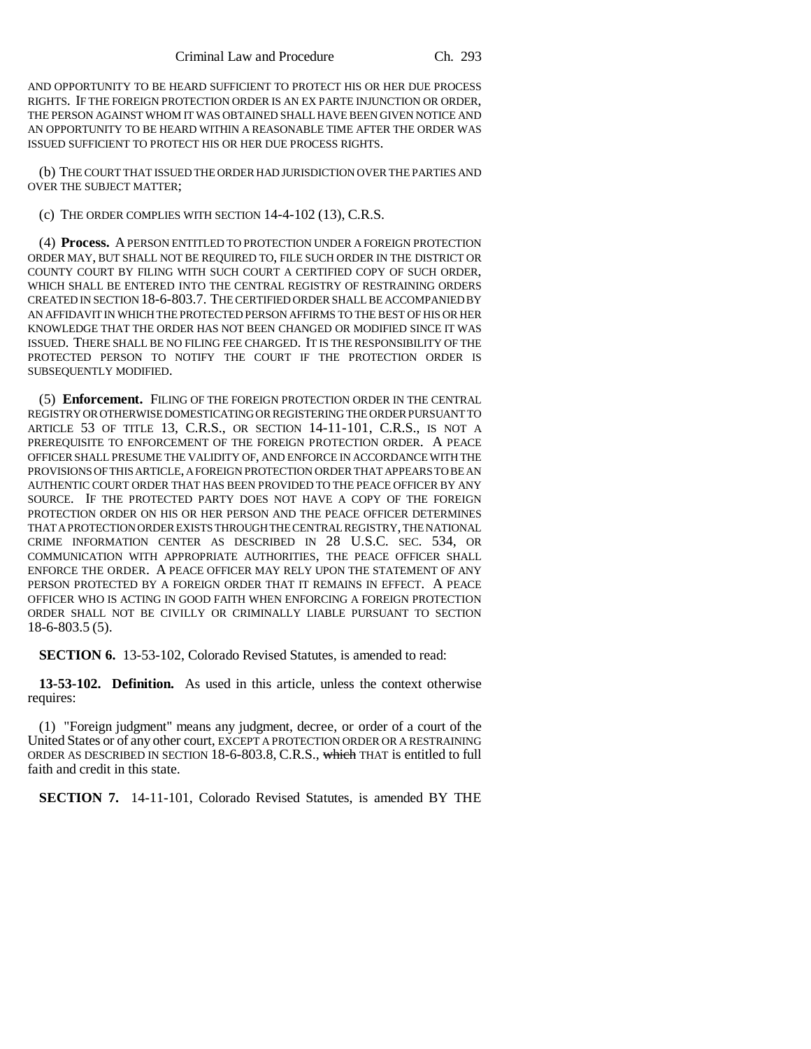AND OPPORTUNITY TO BE HEARD SUFFICIENT TO PROTECT HIS OR HER DUE PROCESS RIGHTS. IF THE FOREIGN PROTECTION ORDER IS AN EX PARTE INJUNCTION OR ORDER, THE PERSON AGAINST WHOM IT WAS OBTAINED SHALL HAVE BEEN GIVEN NOTICE AND AN OPPORTUNITY TO BE HEARD WITHIN A REASONABLE TIME AFTER THE ORDER WAS ISSUED SUFFICIENT TO PROTECT HIS OR HER DUE PROCESS RIGHTS.

(b) THE COURT THAT ISSUED THE ORDER HAD JURISDICTION OVER THE PARTIES AND OVER THE SUBJECT MATTER;

(c) THE ORDER COMPLIES WITH SECTION 14-4-102 (13), C.R.S.

(4) **Process.** A PERSON ENTITLED TO PROTECTION UNDER A FOREIGN PROTECTION ORDER MAY, BUT SHALL NOT BE REQUIRED TO, FILE SUCH ORDER IN THE DISTRICT OR COUNTY COURT BY FILING WITH SUCH COURT A CERTIFIED COPY OF SUCH ORDER, WHICH SHALL BE ENTERED INTO THE CENTRAL REGISTRY OF RESTRAINING ORDERS CREATED IN SECTION 18-6-803.7. THE CERTIFIED ORDER SHALL BE ACCOMPANIED BY AN AFFIDAVIT IN WHICH THE PROTECTED PERSON AFFIRMS TO THE BEST OF HIS OR HER KNOWLEDGE THAT THE ORDER HAS NOT BEEN CHANGED OR MODIFIED SINCE IT WAS ISSUED. THERE SHALL BE NO FILING FEE CHARGED. IT IS THE RESPONSIBILITY OF THE PROTECTED PERSON TO NOTIFY THE COURT IF THE PROTECTION ORDER IS SUBSEQUENTLY MODIFIED.

(5) **Enforcement.** FILING OF THE FOREIGN PROTECTION ORDER IN THE CENTRAL REGISTRY OR OTHERWISE DOMESTICATING OR REGISTERING THE ORDER PURSUANT TO ARTICLE 53 OF TITLE 13, C.R.S., OR SECTION 14-11-101, C.R.S., IS NOT A PREREQUISITE TO ENFORCEMENT OF THE FOREIGN PROTECTION ORDER. A PEACE OFFICER SHALL PRESUME THE VALIDITY OF, AND ENFORCE IN ACCORDANCE WITH THE PROVISIONS OF THIS ARTICLE, A FOREIGN PROTECTION ORDER THAT APPEARS TO BE AN AUTHENTIC COURT ORDER THAT HAS BEEN PROVIDED TO THE PEACE OFFICER BY ANY SOURCE. IF THE PROTECTED PARTY DOES NOT HAVE A COPY OF THE FOREIGN PROTECTION ORDER ON HIS OR HER PERSON AND THE PEACE OFFICER DETERMINES THAT A PROTECTION ORDER EXISTS THROUGH THE CENTRAL REGISTRY, THE NATIONAL CRIME INFORMATION CENTER AS DESCRIBED IN 28 U.S.C. SEC. 534, OR COMMUNICATION WITH APPROPRIATE AUTHORITIES, THE PEACE OFFICER SHALL ENFORCE THE ORDER. A PEACE OFFICER MAY RELY UPON THE STATEMENT OF ANY PERSON PROTECTED BY A FOREIGN ORDER THAT IT REMAINS IN EFFECT. A PEACE OFFICER WHO IS ACTING IN GOOD FAITH WHEN ENFORCING A FOREIGN PROTECTION ORDER SHALL NOT BE CIVILLY OR CRIMINALLY LIABLE PURSUANT TO SECTION 18-6-803.5 (5).

**SECTION 6.** 13-53-102, Colorado Revised Statutes, is amended to read:

**13-53-102. Definition.** As used in this article, unless the context otherwise requires:

(1) "Foreign judgment" means any judgment, decree, or order of a court of the United States or of any other court, EXCEPT A PROTECTION ORDER OR A RESTRAINING ORDER AS DESCRIBED IN SECTION 18-6-803.8, C.R.S., which THAT is entitled to full faith and credit in this state.

**SECTION 7.** 14-11-101, Colorado Revised Statutes, is amended BY THE